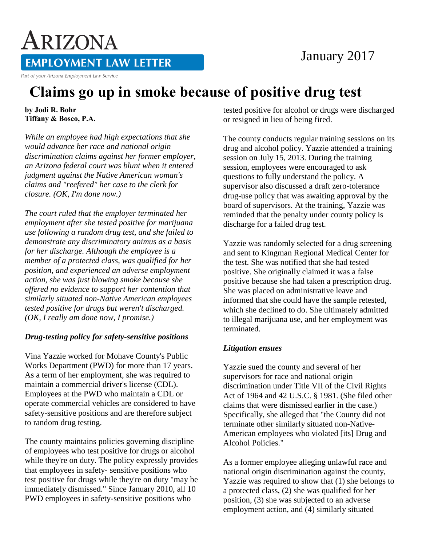## January 2017

**EMPLOYMENT LAW LETTER** 

Part of your Arizona Employment Law Service

ARIZONA

# **Claims go up in smoke because of positive drug test**

**by Jodi R. Bohr Tiffany & Bosco, P.A.** 

*While an employee had high expectations that she would advance her race and national origin discrimination claims against her former employer, an Arizona federal court was blunt when it entered judgment against the Native American woman's claims and "reefered" her case to the clerk for closure. (OK, I'm done now.)*

*The court ruled that the employer terminated her employment after she tested positive for marijuana use following a random drug test, and she failed to demonstrate any discriminatory animus as a basis for her discharge. Although the employee is a member of a protected class, was qualified for her position, and experienced an adverse employment action, she was just blowing smoke because she offered no evidence to support her contention that similarly situated non-Native American employees tested positive for drugs but weren't discharged. (OK, I really am done now, I promise.)*

#### *Drug-testing policy for safety-sensitive positions*

Vina Yazzie worked for Mohave County's Public Works Department (PWD) for more than 17 years. As a term of her employment, she was required to maintain a commercial driver's license (CDL). Employees at the PWD who maintain a CDL or operate commercial vehicles are considered to have safety-sensitive positions and are therefore subject to random drug testing.

The county maintains policies governing discipline of employees who test positive for drugs or alcohol while they're on duty. The policy expressly provides that employees in safety- sensitive positions who test positive for drugs while they're on duty "may be immediately dismissed." Since January 2010, all 10 PWD employees in safety-sensitive positions who

tested positive for alcohol or drugs were discharged or resigned in lieu of being fired.

The county conducts regular training sessions on its drug and alcohol policy. Yazzie attended a training session on July 15, 2013. During the training session, employees were encouraged to ask questions to fully understand the policy. A supervisor also discussed a draft zero-tolerance drug-use policy that was awaiting approval by the board of supervisors. At the training, Yazzie was reminded that the penalty under county policy is discharge for a failed drug test.

Yazzie was randomly selected for a drug screening and sent to Kingman Regional Medical Center for the test. She was notified that she had tested positive. She originally claimed it was a false positive because she had taken a prescription drug. She was placed on administrative leave and informed that she could have the sample retested, which she declined to do. She ultimately admitted to illegal marijuana use, and her employment was terminated.

#### *Litigation ensues*

Yazzie sued the county and several of her supervisors for race and national origin discrimination under Title VII of the Civil Rights Act of 1964 and 42 U.S.C. § 1981. (She filed other claims that were dismissed earlier in the case.) Specifically, she alleged that "the County did not terminate other similarly situated non-Native-American employees who violated [its] Drug and Alcohol Policies."

As a former employee alleging unlawful race and national origin discrimination against the county, Yazzie was required to show that (1) she belongs to a protected class, (2) she was qualified for her position, (3) she was subjected to an adverse employment action, and (4) similarly situated